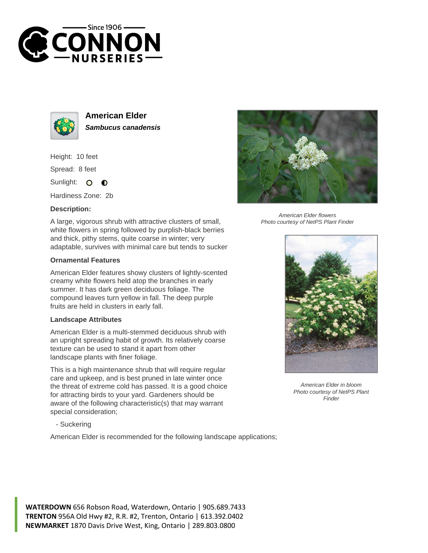



**American Elder Sambucus canadensis**

Height: 10 feet

Spread: 8 feet

Sunlight: 0  $\bullet$ 

Hardiness Zone: 2b

## **Description:**

A large, vigorous shrub with attractive clusters of small, white flowers in spring followed by purplish-black berries and thick, pithy stems, quite coarse in winter; very adaptable, survives with minimal care but tends to sucker

## **Ornamental Features**

American Elder features showy clusters of lightly-scented creamy white flowers held atop the branches in early summer. It has dark green deciduous foliage. The compound leaves turn yellow in fall. The deep purple fruits are held in clusters in early fall.

## **Landscape Attributes**

American Elder is a multi-stemmed deciduous shrub with an upright spreading habit of growth. Its relatively coarse texture can be used to stand it apart from other landscape plants with finer foliage.

This is a high maintenance shrub that will require regular care and upkeep, and is best pruned in late winter once the threat of extreme cold has passed. It is a good choice for attracting birds to your yard. Gardeners should be aware of the following characteristic(s) that may warrant special consideration;



American Elder flowers Photo courtesy of NetPS Plant Finder



American Elder in bloom Photo courtesy of NetPS Plant **Finder** 

- Suckering

American Elder is recommended for the following landscape applications;